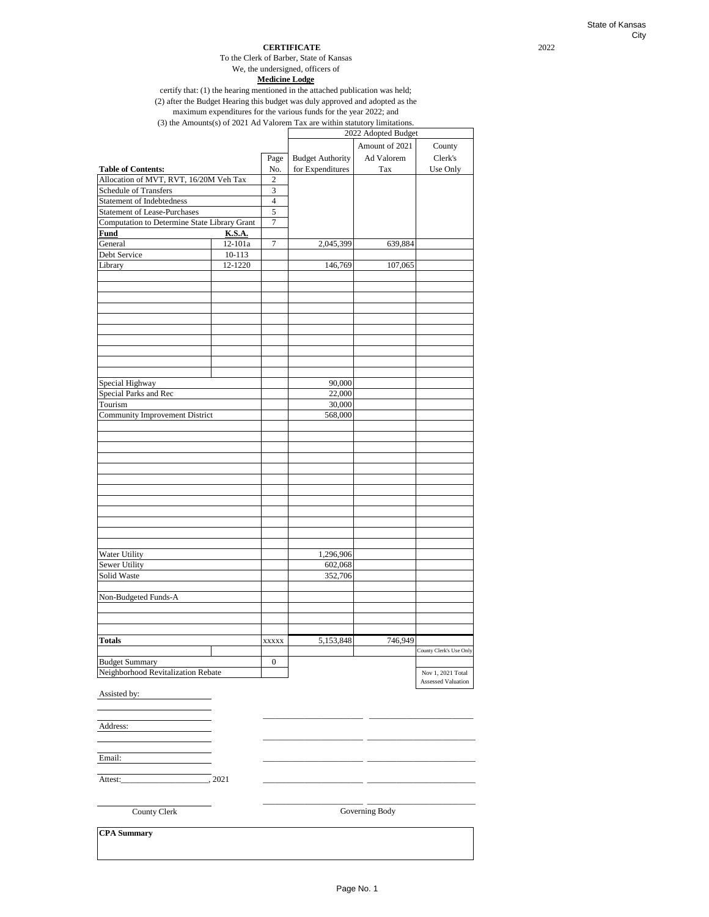### **CERTIFICATE** 2022

We, the undersigned, officers of To the Clerk of Barber, State of Kansas

**Medicine Lodge**

certify that: (1) the hearing mentioned in the attached publication was held; (2) after the Budget Hearing this budget was duly approved and adopted as the

maximum expenditures for the various funds for the year 2022; and

(3) the Amounts(s) of 2021 Ad Valorem Tax are within statutory limitations.

|                                              |         |                  |                         | 2022 Adopted Budget |                           |
|----------------------------------------------|---------|------------------|-------------------------|---------------------|---------------------------|
|                                              |         |                  |                         | Amount of 2021      | County                    |
|                                              |         | Page             | <b>Budget Authority</b> | Ad Valorem          | Clerk's                   |
| <b>Table of Contents:</b>                    |         | No.              | for Expenditures        | Tax                 | Use Only                  |
| Allocation of MVT, RVT, 16/20M Veh Tax       |         | $\boldsymbol{2}$ |                         |                     |                           |
| <b>Schedule of Transfers</b>                 |         | $\mathfrak{Z}$   |                         |                     |                           |
| <b>Statement of Indebtedness</b>             |         | $\overline{4}$   |                         |                     |                           |
| <b>Statement of Lease-Purchases</b>          |         | $\overline{5}$   |                         |                     |                           |
| Computation to Determine State Library Grant |         | 7                |                         |                     |                           |
| Fund                                         | K.S.A.  |                  |                         |                     |                           |
| General                                      | 12-101a | $\boldsymbol{7}$ | 2,045,399               | 639,884             |                           |
| Debt Service                                 | 10-113  |                  |                         |                     |                           |
|                                              |         |                  |                         |                     |                           |
| Library                                      | 12-1220 |                  | 146,769                 | 107,065             |                           |
|                                              |         |                  |                         |                     |                           |
|                                              |         |                  |                         |                     |                           |
|                                              |         |                  |                         |                     |                           |
|                                              |         |                  |                         |                     |                           |
|                                              |         |                  |                         |                     |                           |
|                                              |         |                  |                         |                     |                           |
|                                              |         |                  |                         |                     |                           |
|                                              |         |                  |                         |                     |                           |
|                                              |         |                  |                         |                     |                           |
|                                              |         |                  |                         |                     |                           |
| Special Highway                              |         |                  | 90,000                  |                     |                           |
| Special Parks and Rec                        |         |                  | 22,000                  |                     |                           |
| Tourism                                      |         |                  | 30,000                  |                     |                           |
| <b>Community Improvement District</b>        |         |                  | 568,000                 |                     |                           |
|                                              |         |                  |                         |                     |                           |
|                                              |         |                  |                         |                     |                           |
|                                              |         |                  |                         |                     |                           |
|                                              |         |                  |                         |                     |                           |
|                                              |         |                  |                         |                     |                           |
|                                              |         |                  |                         |                     |                           |
|                                              |         |                  |                         |                     |                           |
|                                              |         |                  |                         |                     |                           |
|                                              |         |                  |                         |                     |                           |
|                                              |         |                  |                         |                     |                           |
|                                              |         |                  |                         |                     |                           |
|                                              |         |                  |                         |                     |                           |
| Water Utility                                |         |                  | 1,296,906               |                     |                           |
| Sewer Utility                                |         |                  | 602,068                 |                     |                           |
| Solid Waste                                  |         |                  | 352,706                 |                     |                           |
|                                              |         |                  |                         |                     |                           |
| Non-Budgeted Funds-A                         |         |                  |                         |                     |                           |
|                                              |         |                  |                         |                     |                           |
|                                              |         |                  |                         |                     |                           |
|                                              |         |                  |                         |                     |                           |
| <b>Totals</b>                                |         | <b>XXXXX</b>     | 5,153,848               | 746,949             |                           |
|                                              |         |                  |                         |                     | County Clerk's Use Only   |
| <b>Budget Summary</b>                        |         | 0                |                         |                     |                           |
| Neighborhood Revitalization Rebate           |         |                  |                         |                     | Nov 1, 2021 Total         |
|                                              |         |                  |                         |                     | <b>Assessed Valuation</b> |
| Assisted by:                                 |         |                  |                         |                     |                           |
|                                              |         |                  |                         |                     |                           |
|                                              |         |                  |                         |                     |                           |
| Address:                                     |         |                  |                         |                     |                           |
|                                              |         |                  |                         |                     |                           |
|                                              |         |                  |                         |                     |                           |
| Email:                                       |         |                  |                         |                     |                           |
|                                              |         |                  |                         |                     |                           |
|                                              | , 2021  |                  |                         |                     |                           |
| Attest:                                      |         |                  |                         |                     |                           |
|                                              |         |                  |                         |                     |                           |
| County Clerk                                 |         |                  |                         | Governing Body      |                           |
|                                              |         |                  |                         |                     |                           |
| <b>CPA</b> Summary                           |         |                  |                         |                     |                           |
|                                              |         |                  |                         |                     |                           |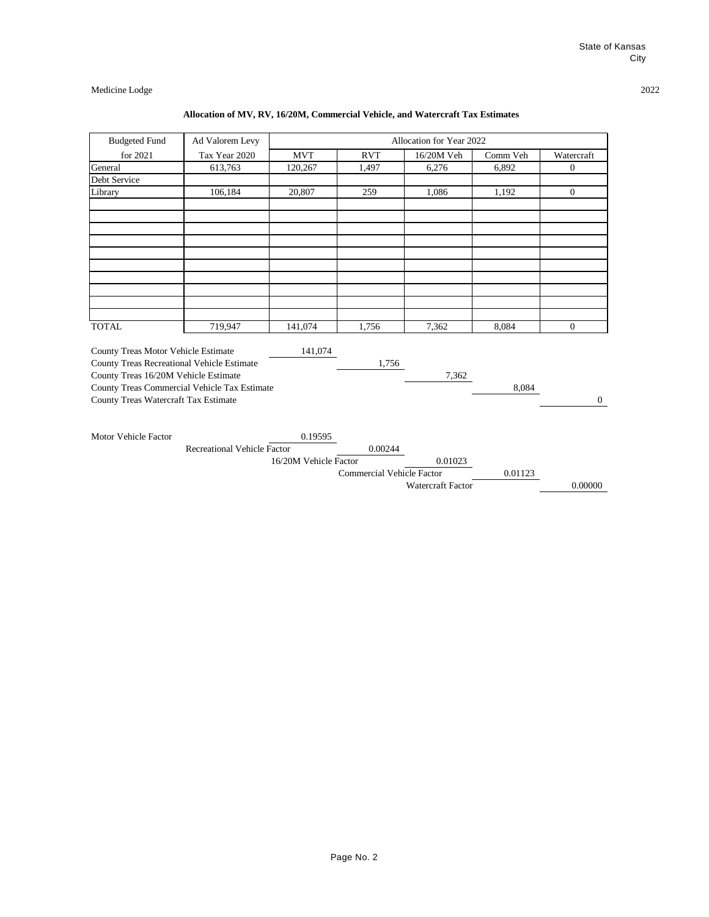## **Allocation of MV, RV, 16/20M, Commercial Vehicle, and Watercraft Tax Estimates**

| <b>Budgeted Fund</b>                         | Ad Valorem Levy                    |                       |                                  | Allocation for Year 2022 |          |                |
|----------------------------------------------|------------------------------------|-----------------------|----------------------------------|--------------------------|----------|----------------|
| for 2021                                     | Tax Year 2020                      | <b>MVT</b>            | <b>RVT</b>                       | 16/20M Veh               | Comm Veh | Watercraft     |
| General                                      | 613,763                            | 120,267               | 1,497                            | 6,276                    | 6,892    | $\overline{0}$ |
| Debt Service                                 |                                    |                       |                                  |                          |          |                |
| Library                                      | 106,184                            | 20,807                | 259                              | 1,086                    | 1,192    | $\overline{0}$ |
|                                              |                                    |                       |                                  |                          |          |                |
|                                              |                                    |                       |                                  |                          |          |                |
|                                              |                                    |                       |                                  |                          |          |                |
|                                              |                                    |                       |                                  |                          |          |                |
|                                              |                                    |                       |                                  |                          |          |                |
|                                              |                                    |                       |                                  |                          |          |                |
|                                              |                                    |                       |                                  |                          |          |                |
| <b>TOTAL</b>                                 | 719,947                            | 141,074               | 1,756                            | 7,362                    | 8,084    | $\Omega$       |
| County Treas Motor Vehicle Estimate          |                                    | 141,074               |                                  |                          |          |                |
| County Treas Recreational Vehicle Estimate   |                                    |                       | 1,756                            |                          |          |                |
| County Treas 16/20M Vehicle Estimate         |                                    |                       |                                  | 7,362                    |          |                |
| County Treas Commercial Vehicle Tax Estimate |                                    |                       |                                  |                          | 8,084    |                |
| County Treas Watercraft Tax Estimate         |                                    |                       |                                  |                          |          | $\mathbf{0}$   |
|                                              |                                    |                       |                                  |                          |          |                |
| Motor Vehicle Factor                         |                                    | 0.19595               |                                  |                          |          |                |
|                                              | <b>Recreational Vehicle Factor</b> |                       | 0.00244                          |                          |          |                |
|                                              |                                    | 16/20M Vehicle Factor |                                  | 0.01023                  |          |                |
|                                              |                                    |                       | <b>Commercial Vehicle Factor</b> |                          | 0.01123  |                |
|                                              |                                    |                       |                                  | Watercraft Factor        |          | 0.00000        |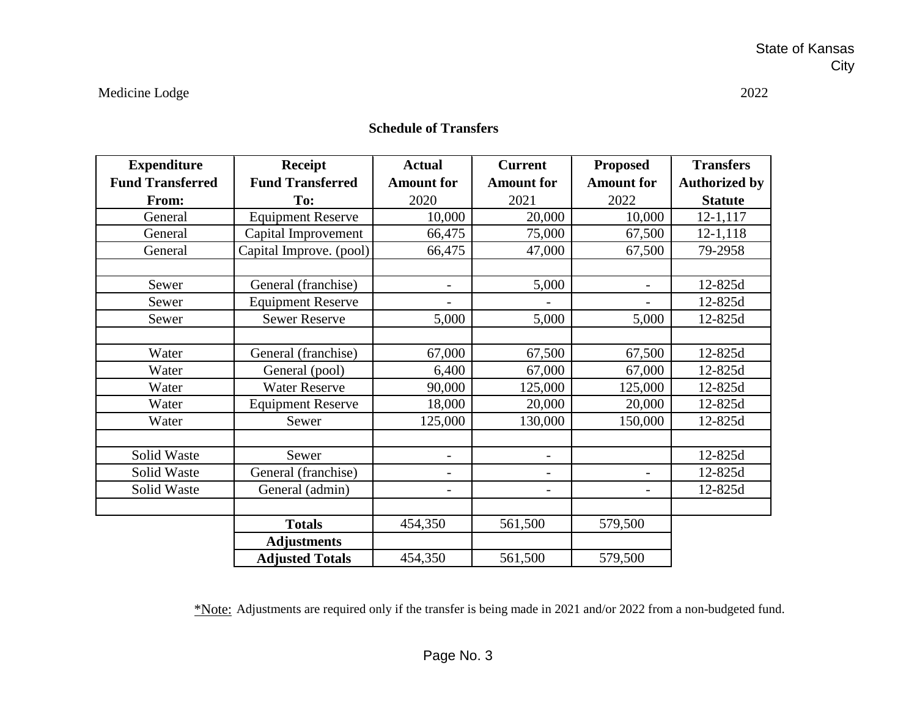| <b>Expenditure</b>      | <b>Receipt</b>           | <b>Actual</b>            | <b>Current</b>           | <b>Proposed</b>          | <b>Transfers</b>     |
|-------------------------|--------------------------|--------------------------|--------------------------|--------------------------|----------------------|
| <b>Fund Transferred</b> | <b>Fund Transferred</b>  | <b>Amount for</b>        | <b>Amount for</b>        | <b>Amount for</b>        | <b>Authorized by</b> |
| From:                   | To:                      | 2020                     | 2021                     | 2022                     | <b>Statute</b>       |
| General                 | <b>Equipment Reserve</b> | 10,000                   | 20,000                   | 10,000                   | 12-1,117             |
| General                 | Capital Improvement      | 66,475                   | 75,000                   | 67,500                   | $12 - 1, 118$        |
| General                 | Capital Improve. (pool)  | 66,475                   | 47,000                   | 67,500                   | 79-2958              |
|                         |                          |                          |                          |                          |                      |
| Sewer                   | General (franchise)      | $\overline{\phantom{a}}$ | 5,000                    | $\overline{\phantom{0}}$ | 12-825d              |
| Sewer                   | <b>Equipment Reserve</b> |                          |                          |                          | 12-825d              |
| Sewer                   | <b>Sewer Reserve</b>     | 5,000                    | 5,000                    | 5,000                    | 12-825d              |
|                         |                          |                          |                          |                          |                      |
| Water                   | General (franchise)      | 67,000                   | 67,500                   | 67,500                   | 12-825d              |
| Water                   | General (pool)           | 6,400                    | 67,000                   | 67,000                   | 12-825d              |
| Water                   | <b>Water Reserve</b>     | 90,000                   | 125,000                  | 125,000                  | 12-825d              |
| Water                   | <b>Equipment Reserve</b> | 18,000                   | 20,000                   | 20,000                   | 12-825d              |
| Water                   | Sewer                    | 125,000                  | 130,000                  | 150,000                  | 12-825d              |
|                         |                          |                          |                          |                          |                      |
| Solid Waste             | Sewer                    |                          | $\overline{\phantom{0}}$ |                          | 12-825d              |
| Solid Waste             | General (franchise)      |                          |                          |                          | 12-825d              |
| Solid Waste             | General (admin)          | $\overline{\phantom{a}}$ | $\overline{\phantom{0}}$ | $\overline{a}$           | 12-825d              |
|                         |                          |                          |                          |                          |                      |
|                         | <b>Totals</b>            | 454,350                  | 561,500                  | 579,500                  |                      |
|                         | <b>Adjustments</b>       |                          |                          |                          |                      |
|                         | <b>Adjusted Totals</b>   | 454,350                  | 561,500                  | 579,500                  |                      |

# **Schedule of Transfers**

\*Note: Adjustments are required only if the transfer is being made in 2021 and/or 2022 from a non-budgeted fund.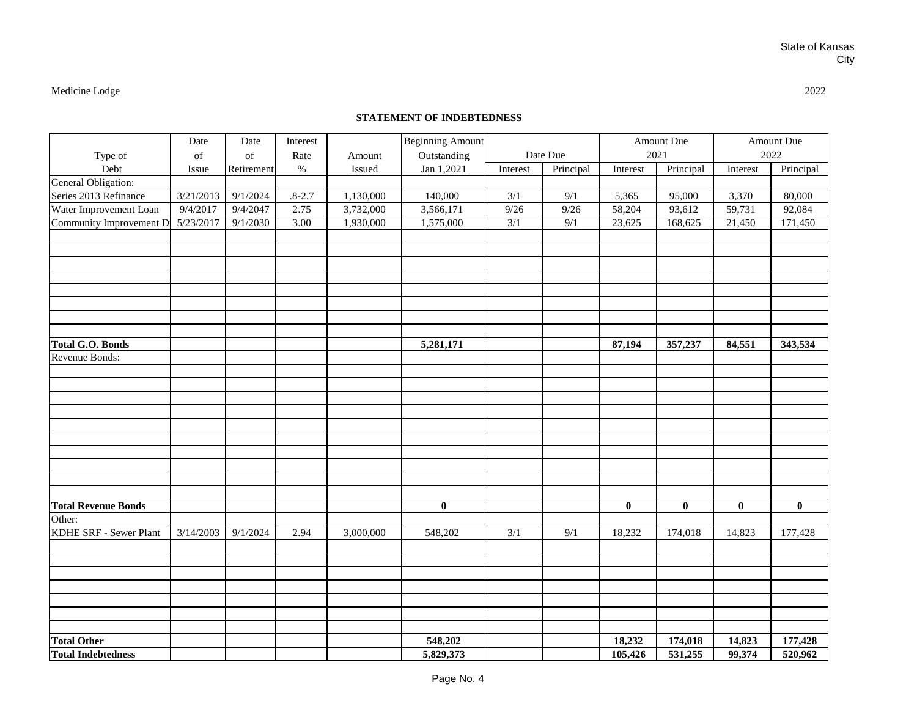## **STATEMENT OF INDEBTEDNESS**

| Type of                    | Date<br>of | Date<br>of | Interest<br>Rate | Amount    | <b>Beginning Amount</b><br>Outstanding |                  | Date Due  |                  | Amount Due<br>2021 |          | Amount Due<br>2022 |
|----------------------------|------------|------------|------------------|-----------|----------------------------------------|------------------|-----------|------------------|--------------------|----------|--------------------|
| Debt                       | Issue      | Retirement | $\%$             | Issued    | Jan 1,2021                             | Interest         | Principal | Interest         | Principal          | Interest | Principal          |
| General Obligation:        |            |            |                  |           |                                        |                  |           |                  |                    |          |                    |
| Series 2013 Refinance      | 3/21/2013  | 9/1/2024   | $.8 - 2.7$       | 1,130,000 | 140,000                                | $\overline{3/1}$ | 9/1       | 5,365            | 95,000             | 3,370    | 80,000             |
| Water Improvement Loan     | 9/4/2017   | 9/4/2047   | 2.75             | 3,732,000 | 3,566,171                              | 9/26             | 9/26      | 58,204           | 93,612             | 59,731   | 92,084             |
| Community Improvement D.   | 5/23/2017  | 9/1/2030   | 3.00             | 1,930,000 | 1,575,000                              | 3/1              | 9/1       | 23,625           | 168,625            | 21,450   | 171,450            |
|                            |            |            |                  |           |                                        |                  |           |                  |                    |          |                    |
|                            |            |            |                  |           |                                        |                  |           |                  |                    |          |                    |
|                            |            |            |                  |           |                                        |                  |           |                  |                    |          |                    |
|                            |            |            |                  |           |                                        |                  |           |                  |                    |          |                    |
|                            |            |            |                  |           |                                        |                  |           |                  |                    |          |                    |
|                            |            |            |                  |           |                                        |                  |           |                  |                    |          |                    |
|                            |            |            |                  |           |                                        |                  |           |                  |                    |          |                    |
|                            |            |            |                  |           |                                        |                  |           |                  |                    |          |                    |
| <b>Total G.O. Bonds</b>    |            |            |                  |           | 5,281,171                              |                  |           | 87,194           | 357,237            | 84,551   | 343,534            |
| Revenue Bonds:             |            |            |                  |           |                                        |                  |           |                  |                    |          |                    |
|                            |            |            |                  |           |                                        |                  |           |                  |                    |          |                    |
|                            |            |            |                  |           |                                        |                  |           |                  |                    |          |                    |
|                            |            |            |                  |           |                                        |                  |           |                  |                    |          |                    |
|                            |            |            |                  |           |                                        |                  |           |                  |                    |          |                    |
|                            |            |            |                  |           |                                        |                  |           |                  |                    |          |                    |
|                            |            |            |                  |           |                                        |                  |           |                  |                    |          |                    |
|                            |            |            |                  |           |                                        |                  |           |                  |                    |          |                    |
|                            |            |            |                  |           |                                        |                  |           |                  |                    |          |                    |
|                            |            |            |                  |           |                                        |                  |           |                  |                    |          |                    |
|                            |            |            |                  |           |                                        |                  |           |                  |                    |          |                    |
| <b>Total Revenue Bonds</b> |            |            |                  |           | $\bf{0}$                               |                  |           | $\boldsymbol{0}$ | $\bf{0}$           | $\bf{0}$ | $\bf{0}$           |
| Other:                     |            |            |                  |           |                                        |                  |           |                  |                    |          |                    |
| KDHE SRF - Sewer Plant     | 3/14/2003  | 9/1/2024   | 2.94             | 3,000,000 | 548,202                                | $\overline{3/1}$ | 9/1       | 18,232           | 174,018            | 14,823   | 177,428            |
|                            |            |            |                  |           |                                        |                  |           |                  |                    |          |                    |
|                            |            |            |                  |           |                                        |                  |           |                  |                    |          |                    |
|                            |            |            |                  |           |                                        |                  |           |                  |                    |          |                    |
|                            |            |            |                  |           |                                        |                  |           |                  |                    |          |                    |
|                            |            |            |                  |           |                                        |                  |           |                  |                    |          |                    |
|                            |            |            |                  |           |                                        |                  |           |                  |                    |          |                    |
|                            |            |            |                  |           |                                        |                  |           |                  |                    |          |                    |
| <b>Total Other</b>         |            |            |                  |           | 548,202                                |                  |           | 18,232           | 174,018            | 14,823   | 177,428            |
| <b>Total Indebtedness</b>  |            |            |                  |           | 5,829,373                              |                  |           | 105,426          | 531,255            | 99,374   | 520,962            |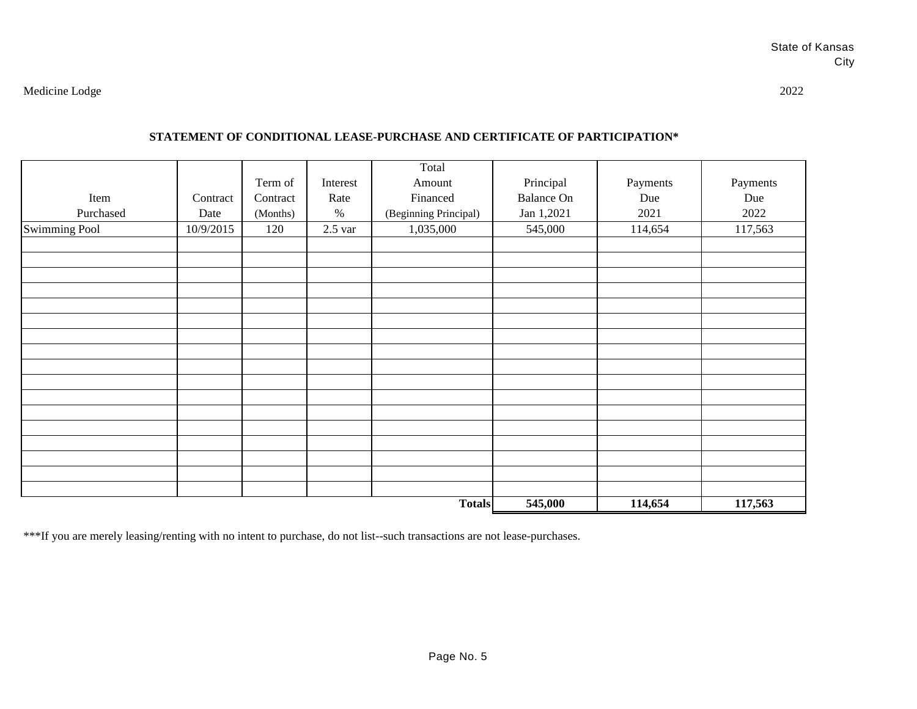## **STATEMENT OF CONDITIONAL LEASE-PURCHASE AND CERTIFICATE OF PARTICIPATION\***

|               |           |          |           | Total                 |                   |          |          |
|---------------|-----------|----------|-----------|-----------------------|-------------------|----------|----------|
|               |           | Term of  | Interest  | Amount                | Principal         | Payments | Payments |
| Item          | Contract  | Contract | Rate      | Financed              | <b>Balance On</b> | Due      | Due      |
| Purchased     | Date      | (Months) | $\%$      | (Beginning Principal) | Jan 1,2021        | 2021     | 2022     |
| Swimming Pool | 10/9/2015 | 120      | $2.5$ var | 1,035,000             | 545,000           | 114,654  | 117,563  |
|               |           |          |           |                       |                   |          |          |
|               |           |          |           |                       |                   |          |          |
|               |           |          |           |                       |                   |          |          |
|               |           |          |           |                       |                   |          |          |
|               |           |          |           |                       |                   |          |          |
|               |           |          |           |                       |                   |          |          |
|               |           |          |           |                       |                   |          |          |
|               |           |          |           |                       |                   |          |          |
|               |           |          |           |                       |                   |          |          |
|               |           |          |           |                       |                   |          |          |
|               |           |          |           |                       |                   |          |          |
|               |           |          |           |                       |                   |          |          |
|               |           |          |           |                       |                   |          |          |
|               |           |          |           |                       |                   |          |          |
|               |           |          |           |                       |                   |          |          |
|               |           |          |           |                       |                   |          |          |
|               |           |          |           |                       |                   |          |          |
|               |           |          |           | <b>Totals</b>         | 545,000           | 114,654  | 117,563  |

\*\*\*If you are merely leasing/renting with no intent to purchase, do not list--such transactions are not lease-purchases.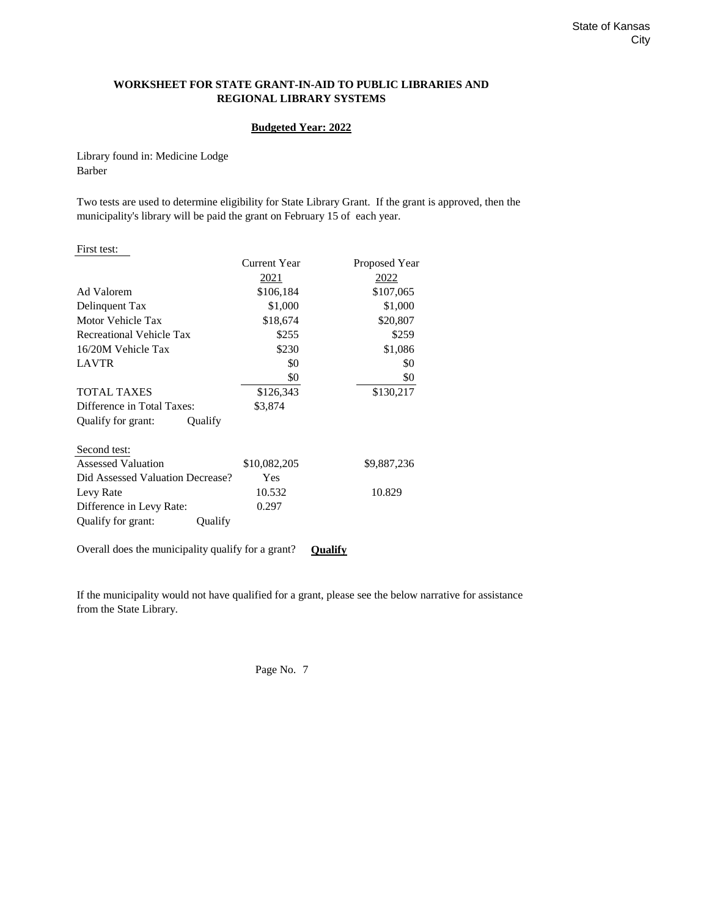## **WORKSHEET FOR STATE GRANT-IN-AID TO PUBLIC LIBRARIES AND REGIONAL LIBRARY SYSTEMS**

### **Budgeted Year: 2022**

Library found in: Medicine Lodge Barber

Two tests are used to determine eligibility for State Library Grant. If the grant is approved, then the municipality's library will be paid the grant on February 15 of each year.

| First test:                                        |               |                |
|----------------------------------------------------|---------------|----------------|
|                                                    | Current Year  | Proposed Year  |
|                                                    | <u> 2021 </u> | 2022           |
| Ad Valorem                                         | \$106,184     | \$107,065      |
| Delinquent Tax                                     | \$1,000       | \$1,000        |
| Motor Vehicle Tax                                  | \$18,674      | \$20,807       |
| Recreational Vehicle Tax                           | \$255         | \$259          |
| 16/20M Vehicle Tax                                 | \$230         | \$1,086        |
| <b>LAVTR</b>                                       | \$0           | \$0            |
|                                                    | \$0           | \$0            |
| <b>TOTAL TAXES</b>                                 | \$126,343     | \$130,217      |
| Difference in Total Taxes:                         | \$3,874       |                |
| Qualify for grant:<br>Qualify                      |               |                |
| Second test:                                       |               |                |
| <b>Assessed Valuation</b>                          | \$10,082,205  | \$9,887,236    |
| Did Assessed Valuation Decrease?                   | Yes           |                |
| Levy Rate                                          | 10.532        | 10.829         |
| Difference in Levy Rate:                           | 0.297         |                |
| Qualify for grant:<br>Qualify                      |               |                |
| Overall does the municipality qualify for a grant? |               | <b>Oualify</b> |

If the municipality would not have qualified for a grant, please see the below narrative for assistance from the State Library.

Page No. 7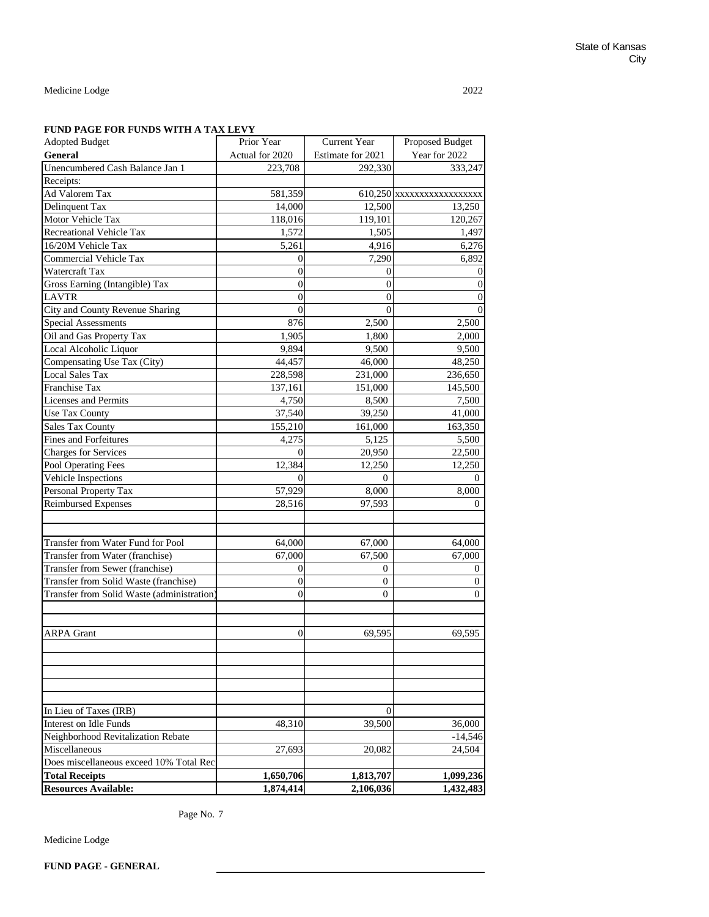## **FUND PAGE FOR FUNDS WITH A TAX LEVY**

| <b>Adopted Budget</b>                      | Prior Year      | Current Year      | Proposed Budget          |
|--------------------------------------------|-----------------|-------------------|--------------------------|
| <b>General</b>                             | Actual for 2020 | Estimate for 2021 | Year for 2022            |
| Unencumbered Cash Balance Jan 1            | 223,708         | 292,330           | 333,247                  |
| Receipts:                                  |                 |                   |                          |
| Ad Valorem Tax                             | 581,359         |                   | 610,250 XXXXXXXXXXXXXXXX |
| Delinquent Tax                             | 14,000          | 12,500            | 13,250                   |
| Motor Vehicle Tax                          | 118,016         | 119,101           | 120,267                  |
| Recreational Vehicle Tax                   | 1,572           | 1,505             | 1,497                    |
| 16/20M Vehicle Tax                         | 5,261           | 4,916             | 6,276                    |
| Commercial Vehicle Tax                     | 0               | 7,290             | 6,892                    |
| Watercraft Tax                             | $\overline{0}$  | $\overline{0}$    | 0                        |
| Gross Earning (Intangible) Tax             | $\theta$        | $\theta$          | $\overline{0}$           |
| <b>LAVTR</b>                               | $\theta$        | $\overline{0}$    | $\overline{0}$           |
| City and County Revenue Sharing            | $\Omega$        | $\overline{0}$    | $\Omega$                 |
| <b>Special Assessments</b>                 | 876             | 2,500             | 2,500                    |
| Oil and Gas Property Tax                   | 1,905           | 1,800             | 2,000                    |
| Local Alcoholic Liquor                     | 9,894           | 9,500             | 9,500                    |
| Compensating Use Tax (City)                | 44,457          | 46,000            | 48,250                   |
| <b>Local Sales Tax</b>                     | 228,598         | 231,000           | 236,650                  |
| Franchise Tax                              | 137,161         | 151,000           | 145,500                  |
| Licenses and Permits                       | 4,750           | 8,500             | 7,500                    |
| <b>Use Tax County</b>                      | 37,540          | 39,250            | 41,000                   |
| <b>Sales Tax County</b>                    | 155,210         | 161,000           | 163,350                  |
| <b>Fines and Forfeitures</b>               | 4,275           | 5,125             | 5,500                    |
| <b>Charges for Services</b>                | $\Omega$        | 20,950            | 22,500                   |
| Pool Operating Fees                        | 12,384          | 12,250            | 12,250                   |
| Vehicle Inspections                        | $\Omega$        | $\Omega$          | $\theta$                 |
| Personal Property Tax                      | 57,929          | 8,000             | 8,000                    |
| <b>Reimbursed Expenses</b>                 | 28,516          | 97,593            | 0                        |
|                                            |                 |                   |                          |
|                                            |                 |                   |                          |
| Transfer from Water Fund for Pool          | 64,000          | 67,000            | 64,000                   |
| Transfer from Water (franchise)            | 67,000          | 67,500            | 67,000                   |
| Transfer from Sewer (franchise)            | $\overline{0}$  | $\theta$          | 0                        |
| Transfer from Solid Waste (franchise)      | $\Omega$        | $\mathbf{0}$      | $\overline{0}$           |
| Transfer from Solid Waste (administration) | 0               | 0                 | 0                        |
|                                            |                 |                   |                          |
|                                            |                 |                   |                          |
| <b>ARPA Grant</b>                          | 0               | 69,595            | 69,595                   |
|                                            |                 |                   |                          |
|                                            |                 |                   |                          |
|                                            |                 |                   |                          |
|                                            |                 |                   |                          |
|                                            |                 |                   |                          |
| In Lieu of Taxes (IRB)                     |                 | 0                 |                          |
| Interest on Idle Funds                     | 48,310          | 39.500            | 36,000                   |
| Neighborhood Revitalization Rebate         |                 |                   | $-14,546$                |
| Miscellaneous                              | 27,693          | 20,082            | 24,504                   |
| Does miscellaneous exceed 10% Total Rec    |                 |                   |                          |
| <b>Total Receipts</b>                      | 1,650,706       | 1,813,707         | 1,099,236                |
| <b>Resources Available:</b>                | 1,874,414       | 2,106,036         | 1,432,483                |

Page No. 7

Medicine Lodge

**FUND PAGE - GENERAL**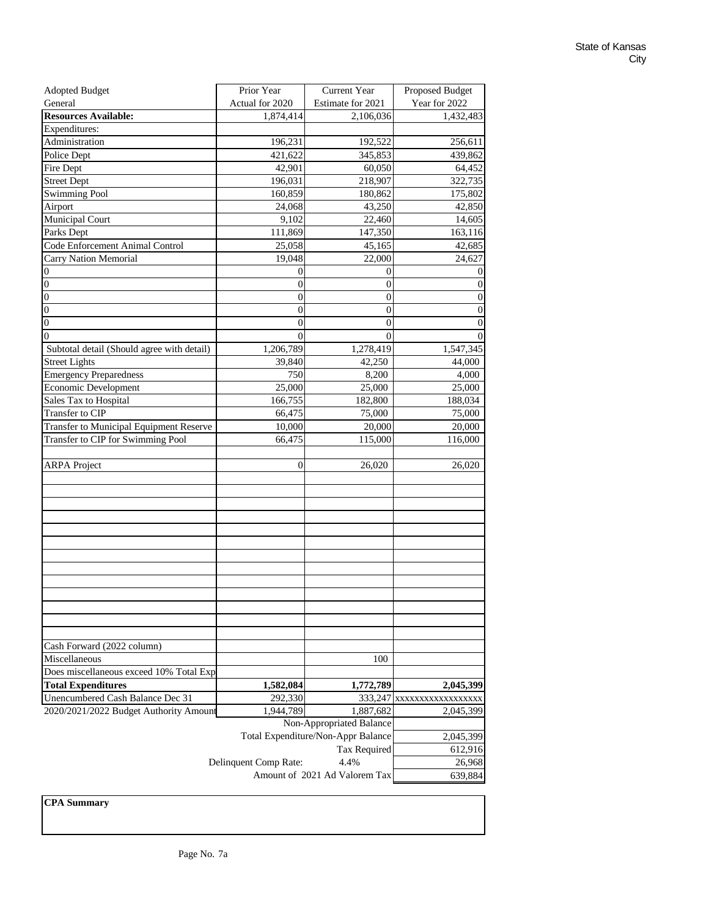| <b>Adopted Budget</b>                          | Prior Year            | Current Year                          | Proposed Budget          |
|------------------------------------------------|-----------------------|---------------------------------------|--------------------------|
| General                                        | Actual for 2020       | Estimate for 2021                     | Year for 2022            |
| <b>Resources Available:</b>                    | 1,874,414             | 2,106,036                             | 1,432,483                |
| Expenditures:                                  |                       |                                       |                          |
| Administration                                 | 196,231               | 192,522                               | 256,611                  |
| Police Dept                                    | 421,622               | 345,853                               | 439,862                  |
| Fire Dept                                      | 42,901                | 60,050                                | 64,452                   |
| <b>Street Dept</b>                             | 196,031               | 218,907                               | 322,735                  |
| <b>Swimming Pool</b>                           | 160,859               | 180,862                               | 175,802                  |
| Airport                                        | 24,068                | 43,250                                | 42,850                   |
| Municipal Court                                | 9,102                 | 22,460                                | 14,605                   |
| Parks Dept                                     | 111,869               | 147,350                               | 163,116                  |
| Code Enforcement Animal Control                | 25,058                | 45,165                                | 42,685                   |
| Carry Nation Memorial                          | 19,048                | 22,000                                | 24,627                   |
| $\boldsymbol{0}$                               | $\mathbf{0}$          | $\boldsymbol{0}$                      | 0                        |
| $\boldsymbol{0}$                               | 0                     | $\boldsymbol{0}$                      | $\boldsymbol{0}$         |
| $\boldsymbol{0}$                               | $\overline{0}$        | $\boldsymbol{0}$                      | $\boldsymbol{0}$         |
| $\mathbf{0}$                                   | $\overline{0}$        | $\overline{0}$                        | 0                        |
| $\boldsymbol{0}$                               | $\overline{0}$        | $\overline{0}$                        | 0                        |
| $\overline{0}$                                 | $\Omega$              | $\theta$                              | 0                        |
| Subtotal detail (Should agree with detail)     | 1,206,789             | 1,278,419                             | 1,547,345                |
| <b>Street Lights</b>                           | 39,840                | 42,250                                | 44,000                   |
| <b>Emergency Preparedness</b>                  | 750                   | 8,200                                 | 4,000                    |
| <b>Economic Development</b>                    | 25,000                | 25,000                                | 25,000                   |
| Sales Tax to Hospital                          | 166,755               | 182,800                               | 188,034                  |
| Transfer to CIP                                | 66,475                | 75,000                                | 75,000                   |
| <b>Transfer to Municipal Equipment Reserve</b> | 10,000                | 20,000                                | 20,000                   |
| Transfer to CIP for Swimming Pool              | 66,475                | 115,000                               | 116,000                  |
|                                                |                       |                                       |                          |
| <b>ARPA</b> Project                            | 0                     | 26,020                                | 26,020                   |
|                                                |                       |                                       |                          |
|                                                |                       |                                       |                          |
|                                                |                       |                                       |                          |
|                                                |                       |                                       |                          |
|                                                |                       |                                       |                          |
|                                                |                       |                                       |                          |
|                                                |                       |                                       |                          |
|                                                |                       |                                       |                          |
|                                                |                       |                                       |                          |
|                                                |                       |                                       |                          |
|                                                |                       |                                       |                          |
|                                                |                       |                                       |                          |
|                                                |                       |                                       |                          |
| Cash Forward (2022 column)                     |                       |                                       |                          |
| Miscellaneous                                  |                       | 100                                   |                          |
| Does miscellaneous exceed 10% Total Exp        |                       |                                       |                          |
| <b>Total Expenditures</b>                      | 1,582,084             | 1,772,789                             | 2,045,399                |
| Unencumbered Cash Balance Dec 31               | 292,330               |                                       | 333,247 XXXXXXXXXXXXXXXX |
| 2020/2021/2022 Budget Authority Amount         | 1,944,789             | 1,887,682                             | 2,045,399                |
|                                                |                       | Non-Appropriated Balance              |                          |
|                                                |                       | Total Expenditure/Non-Appr Balance    | 2,045,399                |
|                                                |                       | Tax Required                          |                          |
|                                                |                       | 612,916<br>26,968                     |                          |
|                                                | Delinquent Comp Rate: | 4.4%<br>Amount of 2021 Ad Valorem Tax |                          |
|                                                |                       |                                       | 639,884                  |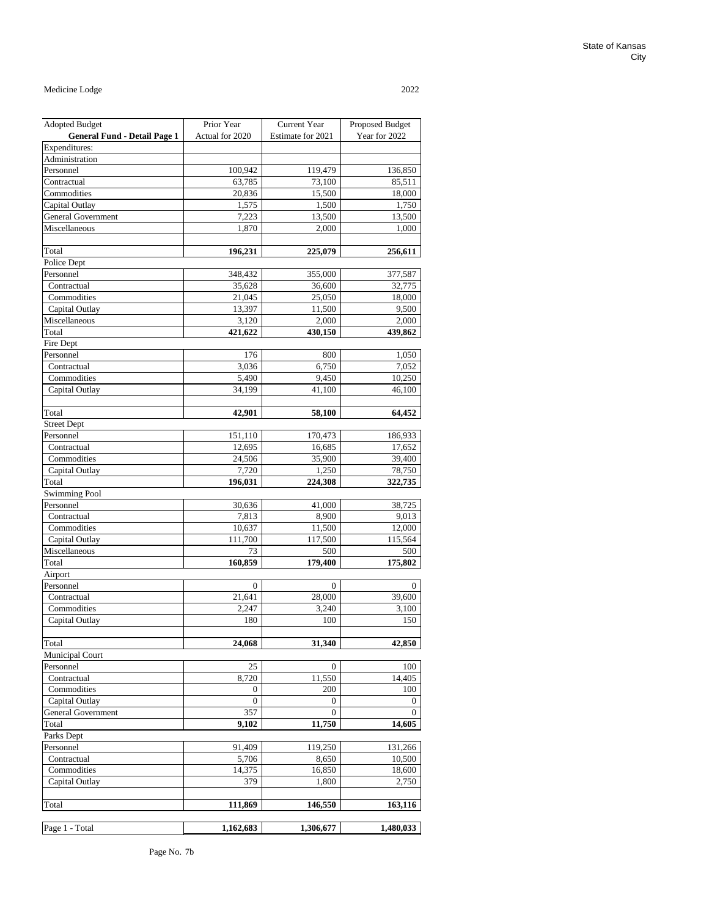| <b>Adopted Budget</b>               | Prior Year      | Current Year      | Proposed Budget |
|-------------------------------------|-----------------|-------------------|-----------------|
| <b>General Fund - Detail Page 1</b> | Actual for 2020 | Estimate for 2021 | Year for 2022   |
| Expenditures:                       |                 |                   |                 |
| Administration                      |                 |                   |                 |
| Personnel                           | 100,942         | 119,479           | 136,850         |
| Contractual                         | 63,785          | 73,100            | 85,511          |
| Commodities                         | 20,836          | 15,500            | 18,000          |
| Capital Outlay                      | 1,575           | 1,500             | 1,750           |
| <b>General Government</b>           | 7,223           | 13,500            | 13,500          |
| Miscellaneous                       | 1,870           | 2,000             | 1,000           |
|                                     |                 |                   |                 |
| Total                               | 196,231         | 225,079           | 256,611         |
| Police Dept                         |                 |                   |                 |
| Personnel                           | 348,432         | 355,000           | 377,587         |
| Contractual                         | 35,628          | 36,600            | 32,775          |
| Commodities                         | 21,045          | 25,050            | 18,000          |
| Capital Outlay                      | 13,397          | 11,500            | 9,500           |
| Miscellaneous                       | 3,120           | 2,000             | 2,000           |
| Total                               | 421,622         | 430,150           | 439,862         |
| Fire Dept                           |                 |                   |                 |
| Personnel                           | 176             | 800               | 1,050           |
| Contractual                         | 3,036           | 6,750             | 7,052           |
| Commodities                         | 5,490           | 9,450             | 10,250          |
| Capital Outlay                      | 34,199          | 41,100            | 46,100          |
|                                     |                 |                   |                 |
| Total                               | 42,901          | 58,100            | 64,452          |
| <b>Street Dept</b>                  |                 |                   |                 |
| Personnel                           | 151,110         | 170,473           | 186,933         |
| Contractual                         | 12,695          | 16,685            | 17,652          |
| Commodities                         | 24,506          | 35,900            | 39,400          |
| Capital Outlay                      | 7,720           | 1,250             | 78,750          |
| Total                               | 196,031         | 224,308           | 322,735         |
|                                     |                 |                   |                 |
| <b>Swimming Pool</b><br>Personnel   |                 |                   |                 |
| Contractual                         | 30,636          | 41,000            | 38,725          |
| Commodities                         | 7,813<br>10,637 | 8,900<br>11,500   | 9,013<br>12,000 |
|                                     |                 |                   |                 |
| Capital Outlay<br>Miscellaneous     | 111,700<br>73   | 117,500<br>500    | 115,564         |
| Total                               |                 |                   | 500             |
|                                     | 160,859         | 179,400           | 175,802         |
| Airport                             |                 |                   |                 |
| Personnel                           | $\bf{0}$        | 0                 | 0               |
| Contractual                         | 21,641          | 28,000            | 39,600          |
| Commodities                         | 2,247           | 3,240             | 3,100           |
| Capital Outlay                      | 180             | 100               | 150             |
|                                     |                 |                   |                 |
| Total                               | 24,068          | 31,340            | 42,850          |
| Municipal Court                     |                 |                   |                 |
| Personnel                           | 25              | 0                 | 100             |
| Contractual                         | 8,720           | 11,550            | 14,405          |
| Commodities                         | 0               | 200               | 100             |
| Capital Outlay                      | 0               | 0                 | 0               |
| <b>General Government</b>           | 357             | 0                 | 0               |
| Total                               | 9,102           | 11,750            | 14,605          |
| Parks Dept                          |                 |                   |                 |
| Personnel                           | 91,409          | 119,250           | 131,266         |
| Contractual                         | 5,706           | 8,650             | 10,500          |
| Commodities                         | 14,375          | 16,850            | 18,600          |
| Capital Outlay                      | 379             | 1,800             | 2,750           |
|                                     |                 |                   |                 |
| Total                               | 111,869         | 146,550           | 163,116         |
|                                     |                 |                   |                 |
| Page 1 - Total                      | 1,162,683       | 1,306,677         | 1,480,033       |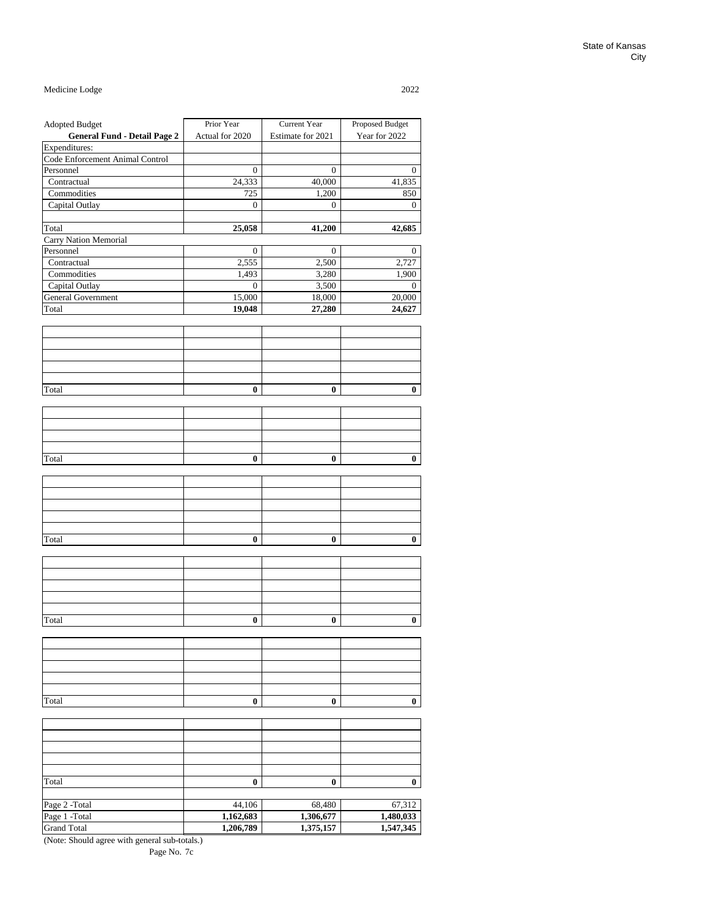| <b>Adopted Budget</b>               | Prior Year       | Current Year      | Proposed Budget  |
|-------------------------------------|------------------|-------------------|------------------|
| <b>General Fund - Detail Page 2</b> | Actual for 2020  | Estimate for 2021 | Year for 2022    |
| Expenditures:                       |                  |                   |                  |
| Code Enforcement Animal Control     |                  |                   |                  |
| Personnel                           | $\bf{0}$         | $\bf{0}$          | 0                |
| Contractual                         | 24,333           | 40,000            | 41,835           |
| Commodities                         | 725              | 1,200             | 850              |
| Capital Outlay                      | $\bf{0}$         | $\boldsymbol{0}$  | $\boldsymbol{0}$ |
|                                     |                  |                   |                  |
| Total                               | 25,058           | 41,200            | 42,685           |
| Carry Nation Memorial               |                  |                   |                  |
| Personnel                           | 0                | 0                 | $\theta$         |
| Contractual                         | 2,555            | 2,500             | 2,727            |
| Commodities                         | 1,493            | 3,280             |                  |
| Capital Outlay                      | $\boldsymbol{0}$ | 3,500             | 1,900            |
|                                     |                  |                   | $\mathbf{0}$     |
| General Government                  | 15,000           | 18,000            | 20,000           |
| Total                               | 19,048           | 27,280            | 24,627           |
|                                     |                  |                   |                  |
|                                     |                  |                   |                  |
|                                     |                  |                   |                  |
|                                     |                  |                   |                  |
|                                     |                  |                   |                  |
|                                     |                  |                   |                  |
| Total                               | 0                | 0                 | $\bf{0}$         |
|                                     |                  |                   |                  |
|                                     |                  |                   |                  |
|                                     |                  |                   |                  |
|                                     |                  |                   |                  |
|                                     |                  |                   |                  |
| Total                               | 0                | 0                 | 0                |
|                                     |                  |                   |                  |
|                                     |                  |                   |                  |
|                                     |                  |                   |                  |
|                                     |                  |                   |                  |
|                                     |                  |                   |                  |
|                                     |                  |                   |                  |
|                                     |                  |                   |                  |
| Total                               | 0                | 0                 | 0                |
|                                     |                  |                   |                  |
|                                     |                  |                   |                  |
|                                     |                  |                   |                  |
|                                     |                  |                   |                  |
|                                     |                  |                   |                  |
|                                     |                  |                   |                  |
| Total                               | 0                | 0                 | $\bf{0}$         |
|                                     |                  |                   |                  |
|                                     |                  |                   |                  |
|                                     |                  |                   |                  |
|                                     |                  |                   |                  |
|                                     |                  |                   |                  |
|                                     |                  |                   |                  |
|                                     |                  |                   |                  |
| Total                               | 0                | 0                 | 0                |
|                                     |                  |                   |                  |
|                                     |                  |                   |                  |
|                                     |                  |                   |                  |
|                                     |                  |                   |                  |
|                                     |                  |                   |                  |
|                                     |                  |                   |                  |
| Total                               | $\bf{0}$         | $\bf{0}$          | $\bf{0}$         |
|                                     |                  |                   |                  |
| Page 2 -Total                       | 44,106           | 68,480            | 67,312           |
| Page 1 -Total                       | 1,162,683        | 1,306,677         | 1,480,033        |
| <b>Grand Total</b>                  | 1,206,789        | 1,375,157         | 1,547,345        |
|                                     |                  |                   |                  |

(Note: Should agree with general sub-totals.)

Page No. 7c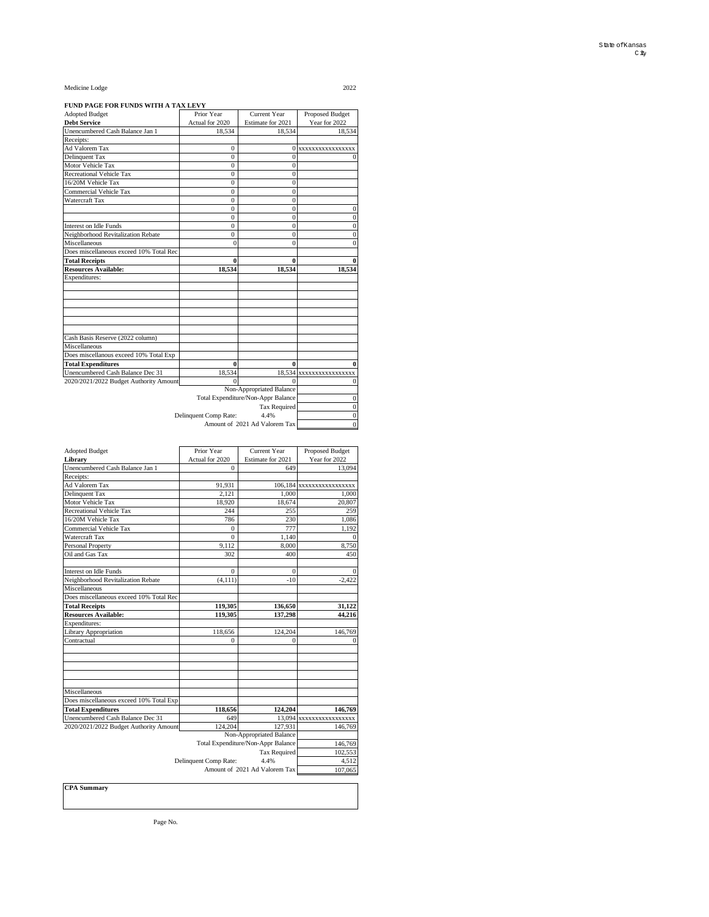#### **FUND PAGE FOR FUNDS WITH A TAX LEVY**

| <b>Adopted Budget</b>                   | Prior Year            | Current Year                       | Proposed Budget         |
|-----------------------------------------|-----------------------|------------------------------------|-------------------------|
| <b>Debt Service</b>                     | Actual for 2020       | Estimate for 2021                  | Year for 2022           |
| Unencumbered Cash Balance Jan 1         | 18,534                | 18,534                             | 18,534                  |
| Receipts:                               |                       |                                    |                         |
| Ad Valorem Tax                          | $\mathbf{0}$          |                                    | 0 xxxxxxxxxxxxxxxxx     |
| Delinquent Tax                          | $\Omega$              | $\theta$                           |                         |
| Motor Vehicle Tax                       | $\Omega$              | $\theta$                           |                         |
| Recreational Vehicle Tax                | $\theta$              | $\mathbf{0}$                       |                         |
| 16/20M Vehicle Tax                      | $\Omega$              | $\bf{0}$                           |                         |
| Commercial Vehicle Tax                  | $\Omega$              | $\overline{0}$                     |                         |
| Watercraft Tax                          | $\Omega$              | $\mathbf{0}$                       |                         |
|                                         | 0                     | $\bf{0}$                           | 0                       |
|                                         | $\Omega$              | $\Omega$                           | $\Omega$                |
| Interest on Idle Funds                  | $\mathbf{0}$          | $\overline{0}$                     | $\bf{0}$                |
| Neighborhood Revitalization Rebate      | $\overline{0}$        | $\bf{0}$                           | $\mathbf{0}$            |
| Miscellaneous                           | $\Omega$              | $\Omega$                           | $\theta$                |
| Does miscellaneous exceed 10% Total Rec |                       |                                    |                         |
| <b>Total Receipts</b>                   | 0                     | 0                                  | 0                       |
| <b>Resources Available:</b>             | 18.534                | 18.534                             | 18,534                  |
| Expenditures:                           |                       |                                    |                         |
|                                         |                       |                                    |                         |
|                                         |                       |                                    |                         |
|                                         |                       |                                    |                         |
|                                         |                       |                                    |                         |
|                                         |                       |                                    |                         |
|                                         |                       |                                    |                         |
| Cash Basis Reserve (2022 column)        |                       |                                    |                         |
| Miscellaneous                           |                       |                                    |                         |
| Does miscellanous exceed 10% Total Exp  |                       |                                    |                         |
| <b>Total Expenditures</b>               | $\bf{0}$              | 0                                  | 0                       |
| Unencumbered Cash Balance Dec 31        | 18,534                |                                    | 18,534 xxxxxxxxxxxxxxxx |
| 2020/2021/2022 Budget Authority Amount  | $\Omega$              | 0                                  | $\theta$                |
|                                         |                       | Non-Appropriated Balance           |                         |
|                                         |                       | Total Expenditure/Non-Appr Balance | $\mathbf{0}$            |
|                                         |                       | <b>Tax Required</b>                | $\mathbf{0}$            |
|                                         | Delinquent Comp Rate: | 4.4%                               | $\bf{0}$                |
|                                         | $\theta$              |                                    |                         |

| <b>Adopted Budget</b>                   | Prior Year            | Current Year                       | Proposed Budget          |
|-----------------------------------------|-----------------------|------------------------------------|--------------------------|
| Library                                 | Actual for 2020       | Estimate for 2021                  | Year for 2022            |
| Unencumbered Cash Balance Jan 1         | $\Omega$              | 649                                | 13.094                   |
| Receipts:                               |                       |                                    |                          |
| <b>Ad Valorem Tax</b>                   | 91,931                |                                    | 106,184 xxxxxxxxxxxxxxxx |
| Delinquent Tax                          | 2.121                 | 1.000                              | 1.000                    |
| Motor Vehicle Tax                       | 18,920                | 18,674                             | 20,807                   |
| Recreational Vehicle Tax                | 244                   | 255                                | 259                      |
| 16/20M Vehicle Tax                      | 786                   | 230                                | 1,086                    |
| Commercial Vehicle Tax                  | $\Omega$              | 777                                | 1,192                    |
| Watercraft Tax                          | $\theta$              | 1.140                              | $\Omega$                 |
| Personal Property                       | 9,112                 | 8,000                              | 8,750                    |
| Oil and Gas Tax                         | 302                   | 400                                | 450                      |
| Interest on Idle Funds                  | $\Omega$              | $\Omega$                           | $\Omega$                 |
| Neighborhood Revitalization Rebate      | (4, 111)              | $-10$                              | $-2,422$                 |
| Miscellaneous                           |                       |                                    |                          |
| Does miscellaneous exceed 10% Total Rec |                       |                                    |                          |
| <b>Total Receipts</b>                   | 119,305               | 136,650                            | 31,122                   |
| <b>Resources Available:</b>             | 119,305               | 137,298                            | 44.216                   |
| Expenditures:                           |                       |                                    |                          |
| Library Appropriation                   | 118,656               | 124,204                            | 146,769                  |
| Contractual                             | $\Omega$              | $\Omega$                           | $\bf{0}$                 |
|                                         |                       |                                    |                          |
| Miscellaneous                           |                       |                                    |                          |
| Does miscellaneous exceed 10% Total Exp |                       |                                    |                          |
| <b>Total Expenditures</b>               | 118,656               | 124.204                            | 146,769                  |
| Unencumbered Cash Balance Dec 31        | 649                   |                                    | 13.094 XXXXXXXXXXXXXXX   |
| 2020/2021/2022 Budget Authority Amount  | 124.204               | 127,931                            | 146,769                  |
|                                         |                       | Non-Appropriated Balance           |                          |
|                                         |                       | Total Expenditure/Non-Appr Balance | 146,769                  |
|                                         |                       | Tax Required                       | 102.553                  |
|                                         |                       |                                    |                          |
|                                         | Delinquent Comp Rate: | 4.4%                               | 4,512                    |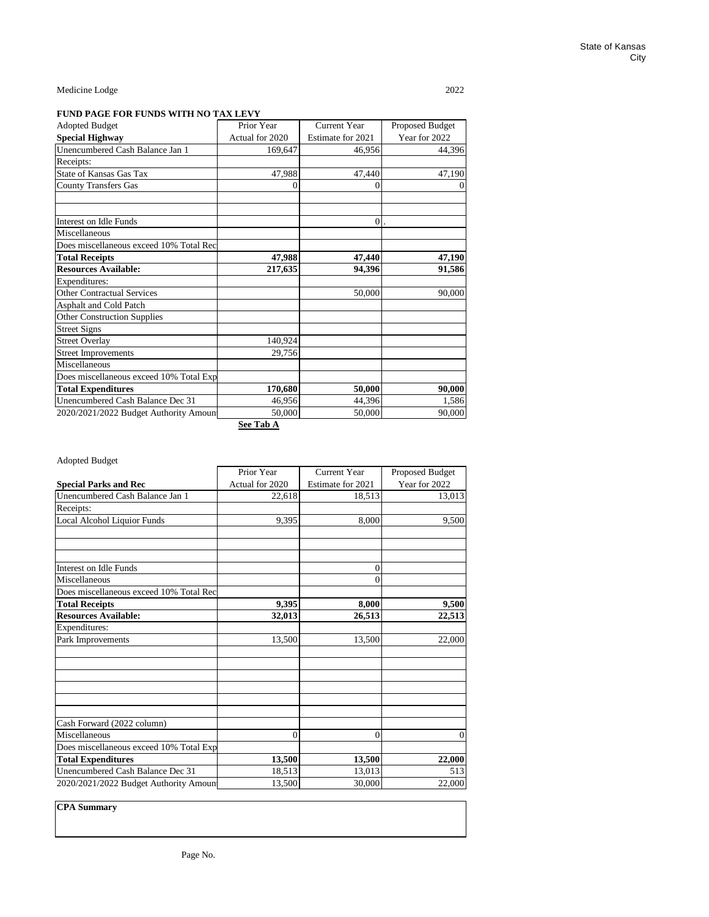### **FUND PAGE FOR FUNDS WITH NO TAX LEVY**

| <b>Adopted Budget</b>                   | Prior Year      | Current Year      | Proposed Budget |  |
|-----------------------------------------|-----------------|-------------------|-----------------|--|
| <b>Special Highway</b>                  | Actual for 2020 | Estimate for 2021 | Year for 2022   |  |
| Unencumbered Cash Balance Jan 1         | 169,647         | 46,956            | 44,396          |  |
| Receipts:                               |                 |                   |                 |  |
| <b>State of Kansas Gas Tax</b>          | 47,988          | 47,440            | 47,190          |  |
| <b>County Transfers Gas</b>             | 0               | 0                 |                 |  |
| Interest on Idle Funds                  |                 | $\overline{0}$    |                 |  |
| Miscellaneous                           |                 |                   |                 |  |
| Does miscellaneous exceed 10% Total Rec |                 |                   |                 |  |
| <b>Total Receipts</b>                   | 47,988          | 47,440            | 47,190          |  |
| <b>Resources Available:</b>             | 217,635         | 94,396            | 91,586          |  |
| Expenditures:                           |                 |                   |                 |  |
| <b>Other Contractual Services</b>       |                 | 50,000            | 90,000          |  |
| Asphalt and Cold Patch                  |                 |                   |                 |  |
| <b>Other Construction Supplies</b>      |                 |                   |                 |  |
| <b>Street Signs</b>                     |                 |                   |                 |  |
| <b>Street Overlay</b>                   | 140,924         |                   |                 |  |
| <b>Street Improvements</b>              | 29,756          |                   |                 |  |
| Miscellaneous                           |                 |                   |                 |  |
| Does miscellaneous exceed 10% Total Exp |                 |                   |                 |  |
| <b>Total Expenditures</b>               | 170,680         | 50,000            | 90,000          |  |
| Unencumbered Cash Balance Dec 31        | 46,956          | 44,396            | 1,586           |  |
| 2020/2021/2022 Budget Authority Amoun   | 50,000          | 50,000            | 90,000          |  |

**See Tab A**

| <b>Adopted Budget</b>                   |                 |                     |                 |
|-----------------------------------------|-----------------|---------------------|-----------------|
|                                         | Prior Year      | <b>Current Year</b> | Proposed Budget |
| <b>Special Parks and Rec</b>            | Actual for 2020 | Estimate for 2021   | Year for 2022   |
| Unencumbered Cash Balance Jan 1         | 22,618          | 18,513              | 13,013          |
| Receipts:                               |                 |                     |                 |
| Local Alcohol Liquior Funds             | 9,395           | 8,000               | 9,500           |
|                                         |                 |                     |                 |
| Interest on Idle Funds                  |                 | $\mathbf{0}$        |                 |
| Miscellaneous                           |                 | $\overline{0}$      |                 |
| Does miscellaneous exceed 10% Total Rec |                 |                     |                 |
| <b>Total Receipts</b>                   | 9,395           | 8,000               | 9,500           |
| <b>Resources Available:</b>             | 32,013          | 26,513              | 22,513          |
| Expenditures:                           |                 |                     |                 |
| Park Improvements                       | 13,500          | 13,500              | 22,000          |
|                                         |                 |                     |                 |
| Cash Forward (2022 column)              |                 |                     |                 |
| Miscellaneous                           | $\theta$        | $\theta$            | 0               |
| Does miscellaneous exceed 10% Total Exp |                 |                     |                 |
| <b>Total Expenditures</b>               | 13,500          | 13,500              | 22,000          |
| Unencumbered Cash Balance Dec 31        | 18,513          | 13,013              | 513             |
| 2020/2021/2022 Budget Authority Amoun   | 13,500          | 30,000              | 22,000          |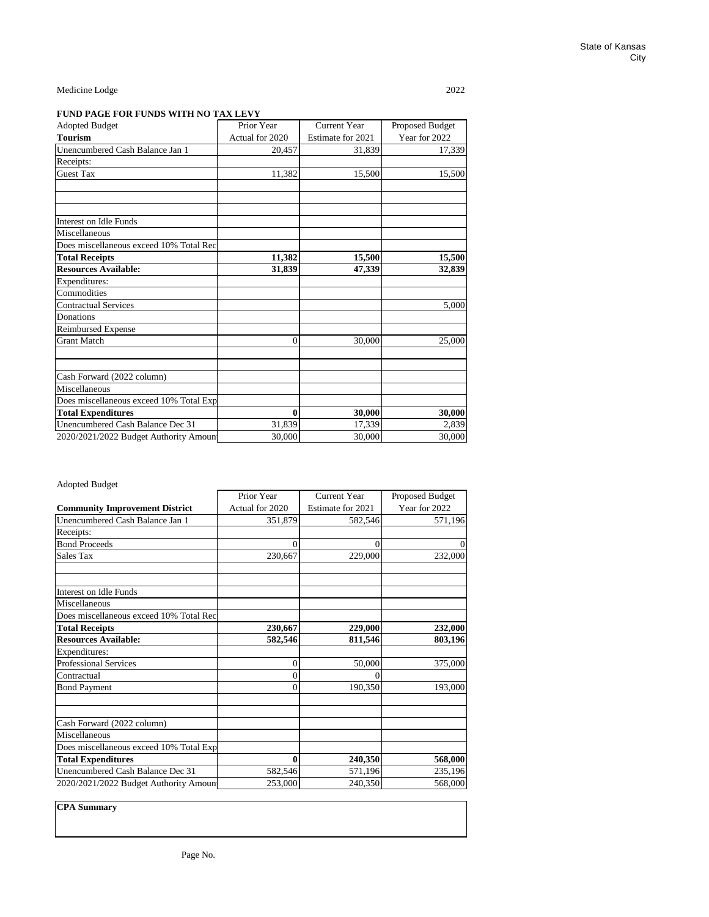### **FUND PAGE FOR FUNDS WITH NO TAX LEVY**

| <b>Adopted Budget</b>                   | Prior Year      | <b>Current Year</b> | Proposed Budget |  |
|-----------------------------------------|-----------------|---------------------|-----------------|--|
| <b>Tourism</b>                          | Actual for 2020 | Estimate for 2021   | Year for 2022   |  |
| Unencumbered Cash Balance Jan 1         | 20,457          | 31,839              | 17,339          |  |
| Receipts:                               |                 |                     |                 |  |
| <b>Guest Tax</b>                        | 11,382          | 15,500              | 15,500          |  |
|                                         |                 |                     |                 |  |
| Interest on Idle Funds                  |                 |                     |                 |  |
| Miscellaneous                           |                 |                     |                 |  |
| Does miscellaneous exceed 10% Total Rec |                 |                     |                 |  |
| <b>Total Receipts</b>                   | 11,382          | 15,500              | 15,500          |  |
| <b>Resources Available:</b>             | 31,839          | 47,339              | 32,839          |  |
| Expenditures:                           |                 |                     |                 |  |
| Commodities                             |                 |                     |                 |  |
| <b>Contractual Services</b>             |                 |                     | 5,000           |  |
| Donations                               |                 |                     |                 |  |
| Reimbursed Expense                      |                 |                     |                 |  |
| <b>Grant Match</b>                      | $\theta$        | 30,000              | 25,000          |  |
| Cash Forward (2022 column)              |                 |                     |                 |  |
| Miscellaneous                           |                 |                     |                 |  |
| Does miscellaneous exceed 10% Total Exp |                 |                     |                 |  |
| <b>Total Expenditures</b>               | $\bf{0}$        | 30,000              | 30,000          |  |
| Unencumbered Cash Balance Dec 31        | 31,839          | 17,339              | 2,839           |  |
| 2020/2021/2022 Budget Authority Amoun   | 30,000          | 30,000              | 30,000          |  |

### Adopted Budget

|                                         | Prior Year      | <b>Current Year</b> | Proposed Budget |
|-----------------------------------------|-----------------|---------------------|-----------------|
| <b>Community Improvement District</b>   | Actual for 2020 | Estimate for 2021   | Year for 2022   |
| Unencumbered Cash Balance Jan 1         | 351,879         | 582,546             | 571,196         |
| Receipts:                               |                 |                     |                 |
| <b>Bond Proceeds</b>                    | $\Omega$        | $\theta$            |                 |
| Sales Tax                               | 230,667         | 229,000             | 232,000         |
| Interest on Idle Funds                  |                 |                     |                 |
| Miscellaneous                           |                 |                     |                 |
| Does miscellaneous exceed 10% Total Rec |                 |                     |                 |
| <b>Total Receipts</b>                   | 230,667         | 229,000             | 232,000         |
| <b>Resources Available:</b>             | 582,546         | 811,546             | 803,196         |
| Expenditures:                           |                 |                     |                 |
| <b>Professional Services</b>            | 0               | 50,000              | 375,000         |
| Contractual                             | 0               | 0                   |                 |
| <b>Bond Payment</b>                     | 0               | 190,350             | 193,000         |
| Cash Forward (2022 column)              |                 |                     |                 |
| Miscellaneous                           |                 |                     |                 |
| Does miscellaneous exceed 10% Total Exp |                 |                     |                 |
| <b>Total Expenditures</b>               | $\mathbf{0}$    | 240,350             | 568,000         |
| Unencumbered Cash Balance Dec 31        | 582,546         | 571,196             | 235,196         |
| 2020/2021/2022 Budget Authority Amoun   | 253,000         | 240,350             | 568,000         |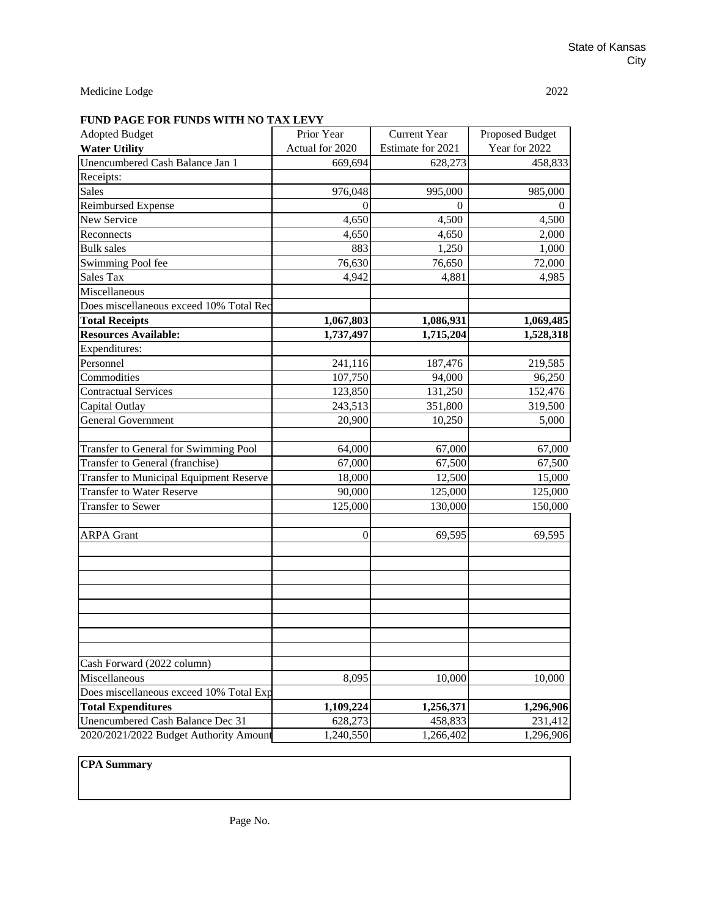# **FUND PAGE FOR FUNDS WITH NO TAX LEVY**

| <b>Adopted Budget</b>                          | Prior Year      | <b>Current Year</b> | Proposed Budget |  |
|------------------------------------------------|-----------------|---------------------|-----------------|--|
| <b>Water Utility</b>                           | Actual for 2020 | Estimate for 2021   | Year for 2022   |  |
| Unencumbered Cash Balance Jan 1                | 669,694         | 628,273             | 458,833         |  |
| Receipts:                                      |                 |                     |                 |  |
| Sales                                          | 976,048         | 995,000             | 985,000         |  |
| Reimbursed Expense                             | $\Omega$        | $\Omega$            | $\theta$        |  |
| New Service                                    | 4,650           | 4,500               | 4,500           |  |
| Reconnects                                     | 4,650           | 4,650               | 2,000           |  |
| <b>Bulk</b> sales                              | 883             | 1,250               | 1,000           |  |
| Swimming Pool fee                              | 76,630          | 76,650              | 72,000          |  |
| Sales Tax                                      | 4,942           | 4,881               | 4,985           |  |
| Miscellaneous                                  |                 |                     |                 |  |
| Does miscellaneous exceed 10% Total Rec        |                 |                     |                 |  |
| <b>Total Receipts</b>                          | 1,067,803       | 1,086,931           | 1,069,485       |  |
| <b>Resources Available:</b>                    | 1,737,497       | 1,715,204           | 1,528,318       |  |
| Expenditures:                                  |                 |                     |                 |  |
| Personnel                                      | 241,116         | 187,476             | 219,585         |  |
| Commodities                                    | 107,750         | 94,000              | 96,250          |  |
| <b>Contractual Services</b>                    | 123,850         | 131,250             | 152,476         |  |
| Capital Outlay                                 | 243,513         | 351,800             | 319,500         |  |
| <b>General Government</b>                      | 20,900          | 10,250              | 5,000           |  |
|                                                |                 |                     |                 |  |
| Transfer to General for Swimming Pool          | 64,000          | 67,000              | 67,000          |  |
| Transfer to General (franchise)                | 67,000          | 67,500              | 67,500          |  |
| <b>Transfer to Municipal Equipment Reserve</b> | 18,000          | 12,500              | 15,000          |  |
| <b>Transfer to Water Reserve</b>               | 90,000          | 125,000             | 125,000         |  |
| Transfer to Sewer                              | 125,000         | 130,000             | 150,000         |  |
|                                                |                 |                     |                 |  |
| <b>ARPA Grant</b>                              | $\overline{0}$  | 69,595              | 69,595          |  |
|                                                |                 |                     |                 |  |
|                                                |                 |                     |                 |  |
|                                                |                 |                     |                 |  |
|                                                |                 |                     |                 |  |
|                                                |                 |                     |                 |  |
|                                                |                 |                     |                 |  |
|                                                |                 |                     |                 |  |
|                                                |                 |                     |                 |  |
| Cash Forward (2022 column)                     |                 |                     |                 |  |
| Miscellaneous                                  | 8,095           | 10,000              | 10,000          |  |
| Does miscellaneous exceed 10% Total Exp        |                 |                     |                 |  |
| <b>Total Expenditures</b>                      | 1,109,224       | 1,256,371           | 1,296,906       |  |
| Unencumbered Cash Balance Dec 31               | 628,273         | 458,833             | 231,412         |  |
| 2020/2021/2022 Budget Authority Amount         | 1,240,550       | 1,266,402           | 1,296,906       |  |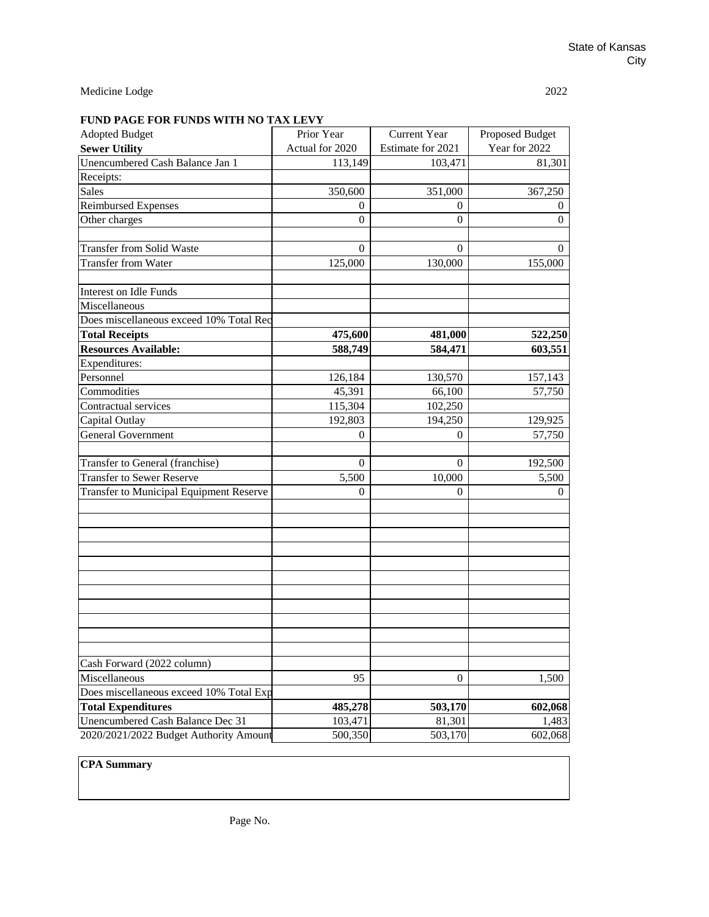# **FUND PAGE FOR FUNDS WITH NO TAX LEVY**

| <b>Adopted Budget</b>                          | Prior Year      | <b>Current Year</b> | Proposed Budget |
|------------------------------------------------|-----------------|---------------------|-----------------|
| <b>Sewer Utility</b>                           | Actual for 2020 | Estimate for 2021   | Year for 2022   |
| Unencumbered Cash Balance Jan 1                | 113,149         | 103,471             | 81,301          |
| Receipts:                                      |                 |                     |                 |
| <b>Sales</b>                                   | 350,600         | 351,000             | 367,250         |
| Reimbursed Expenses                            | $\theta$        | $\Omega$            | $\theta$        |
| Other charges                                  | $\mathbf{0}$    | $\Omega$            | $\Omega$        |
|                                                |                 |                     |                 |
| <b>Transfer from Solid Waste</b>               | $\overline{0}$  | $\theta$            | $\Omega$        |
| <b>Transfer from Water</b>                     | 125,000         | 130,000             | 155,000         |
|                                                |                 |                     |                 |
| Interest on Idle Funds                         |                 |                     |                 |
| Miscellaneous                                  |                 |                     |                 |
| Does miscellaneous exceed 10% Total Rec        |                 |                     |                 |
| <b>Total Receipts</b>                          | 475,600         | 481,000             | 522,250         |
| <b>Resources Available:</b>                    | 588,749         | 584,471             | 603,551         |
| Expenditures:                                  |                 |                     |                 |
| Personnel                                      | 126,184         | 130,570             | 157,143         |
| Commodities                                    | 45,391          | 66,100              | 57,750          |
| Contractual services                           | 115,304         | 102,250             |                 |
| Capital Outlay                                 | 192,803         | 194,250             | 129,925         |
| <b>General Government</b>                      | $\theta$        | $\Omega$            | 57,750          |
|                                                |                 |                     |                 |
| Transfer to General (franchise)                | $\overline{0}$  | $\Omega$            | 192,500         |
| <b>Transfer to Sewer Reserve</b>               | 5,500           | 10,000              | 5,500           |
| <b>Transfer to Municipal Equipment Reserve</b> | 0               | $\Omega$            | 0               |
|                                                |                 |                     |                 |
|                                                |                 |                     |                 |
|                                                |                 |                     |                 |
|                                                |                 |                     |                 |
|                                                |                 |                     |                 |
|                                                |                 |                     |                 |
|                                                |                 |                     |                 |
|                                                |                 |                     |                 |
|                                                |                 |                     |                 |
|                                                |                 |                     |                 |
|                                                |                 |                     |                 |
| Cash Forward (2022 column)                     |                 |                     |                 |
| Miscellaneous                                  | 95              | $\mathbf{0}$        | 1,500           |
| Does miscellaneous exceed 10% Total Exp        |                 |                     |                 |
| <b>Total Expenditures</b>                      | 485,278         | 503,170             | 602,068         |
| Unencumbered Cash Balance Dec 31               | 103,471         | 81,301              | 1,483           |
| 2020/2021/2022 Budget Authority Amount         | 500,350         | 503,170             | 602,068         |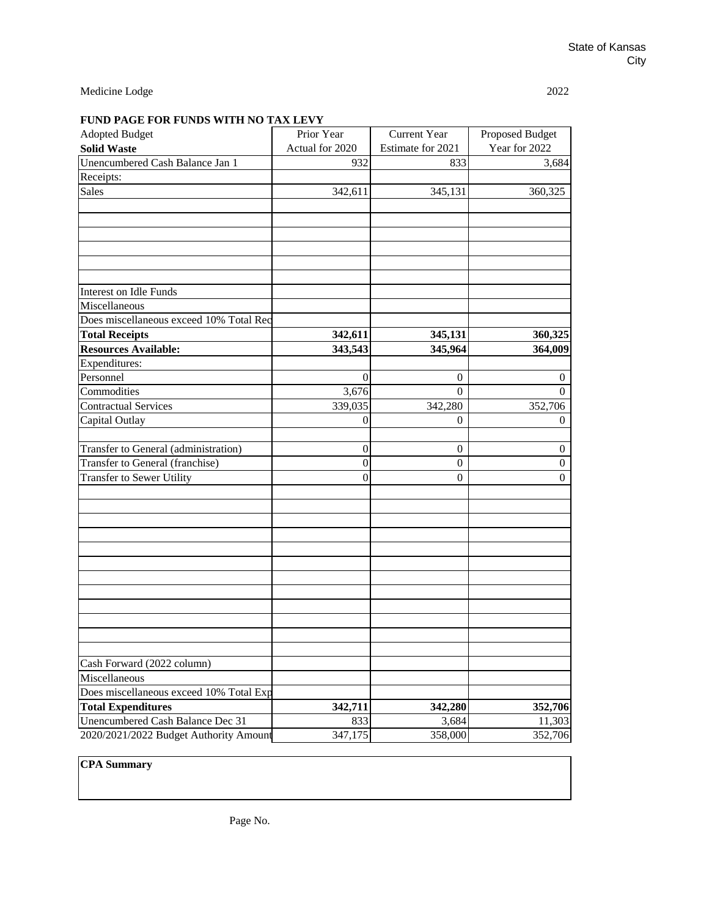## **FUND PAGE FOR FUNDS WITH NO TAX LEVY**

| <b>Adopted Budget</b>                   | Prior Year      | <b>Current Year</b> | Proposed Budget |  |
|-----------------------------------------|-----------------|---------------------|-----------------|--|
| <b>Solid Waste</b>                      | Actual for 2020 | Estimate for 2021   | Year for 2022   |  |
| Unencumbered Cash Balance Jan 1         | 932             | 833                 | 3,684           |  |
| Receipts:                               |                 |                     |                 |  |
| Sales                                   | 342,611         | 345,131             | 360,325         |  |
|                                         |                 |                     |                 |  |
|                                         |                 |                     |                 |  |
|                                         |                 |                     |                 |  |
|                                         |                 |                     |                 |  |
|                                         |                 |                     |                 |  |
|                                         |                 |                     |                 |  |
| Interest on Idle Funds                  |                 |                     |                 |  |
| Miscellaneous                           |                 |                     |                 |  |
| Does miscellaneous exceed 10% Total Rec |                 |                     |                 |  |
| <b>Total Receipts</b>                   | 342,611         | 345,131             | 360,325         |  |
| <b>Resources Available:</b>             | 343,543         | 345,964             | 364,009         |  |
| Expenditures:                           |                 |                     |                 |  |
| Personnel                               | 0               | $\mathbf{0}$        | $\theta$        |  |
| Commodities                             | 3,676           | $\Omega$            | $\Omega$        |  |
| <b>Contractual Services</b>             | 339,035         | 342,280             | 352,706         |  |
| Capital Outlay                          | $\Omega$        | $\Omega$            | $\Omega$        |  |
|                                         |                 |                     |                 |  |
| Transfer to General (administration)    | $\mathbf{0}$    | $\boldsymbol{0}$    | $\overline{0}$  |  |
| Transfer to General (franchise)         | $\mathbf{0}$    | $\boldsymbol{0}$    | $\theta$        |  |
| Transfer to Sewer Utility               | $\theta$        | $\mathbf{0}$        | $\Omega$        |  |
|                                         |                 |                     |                 |  |
|                                         |                 |                     |                 |  |
|                                         |                 |                     |                 |  |
|                                         |                 |                     |                 |  |
|                                         |                 |                     |                 |  |
|                                         |                 |                     |                 |  |
|                                         |                 |                     |                 |  |
|                                         |                 |                     |                 |  |
|                                         |                 |                     |                 |  |
|                                         |                 |                     |                 |  |
|                                         |                 |                     |                 |  |
|                                         |                 |                     |                 |  |
| Cash Forward (2022 column)              |                 |                     |                 |  |
| Miscellaneous                           |                 |                     |                 |  |
| Does miscellaneous exceed 10% Total Exp |                 |                     |                 |  |
| <b>Total Expenditures</b>               | 342,711         | 342,280             | 352,706         |  |
| Unencumbered Cash Balance Dec 31        | 833             | 3,684               | 11,303          |  |
| 2020/2021/2022 Budget Authority Amount  | 347,175         | 358,000             | 352,706         |  |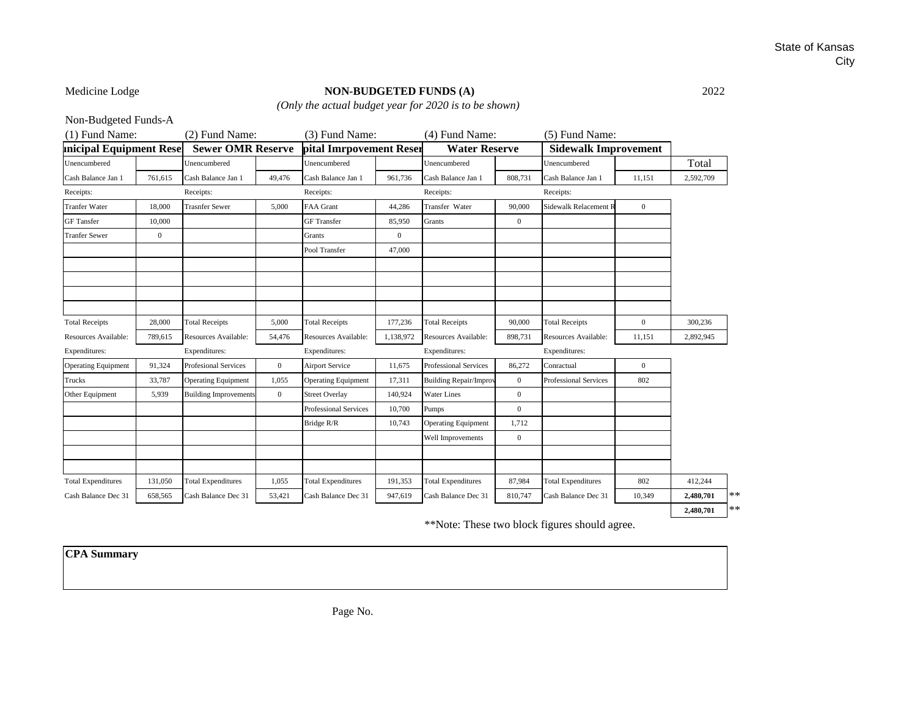## State of Kansas City

## Medicine Lodge **NON-BUDGETED FUNDS (A)** 2022

*(Only the actual budget year for 2020 is to be shown)*

Non-Budgeted Funds-A

| (1) Fund Name:                  |              | (2) Fund Name:               |                | (3) Fund Name:             |              | (4) Fund Name:                |                | (5) Fund Name:              |                |           |      |
|---------------------------------|--------------|------------------------------|----------------|----------------------------|--------------|-------------------------------|----------------|-----------------------------|----------------|-----------|------|
| <b>Inicipal Equipment Resel</b> |              | <b>Sewer OMR Reserve</b>     |                | pital Imrpovement Reser    |              | <b>Water Reserve</b>          |                | <b>Sidewalk Improvement</b> |                |           |      |
| Unencumbered                    |              | Unencumbered                 |                | Unencumbered               |              | Unencumbered                  |                | Unencumbered                |                | Total     |      |
| Cash Balance Jan 1              | 761,615      | Cash Balance Jan 1           | 49,476         | Cash Balance Jan 1         | 961,736      | Cash Balance Jan 1            | 808,731        | Cash Balance Jan 1          | 11,151         | 2,592,709 |      |
| Receipts:                       |              | Receipts:                    |                | Receipts:                  |              | Receipts:                     |                | Receipts:                   |                |           |      |
| <b>Tranfer Water</b>            | 18,000       | <b>Trasnfer Sewer</b>        | 5,000          | <b>FAA Grant</b>           | 44,286       | Transfer Water                | 90,000         | Sidewalk Relacement R       | $\mathbf{0}$   |           |      |
| <b>GF</b> Tansfer               | 10,000       |                              |                | <b>GF</b> Transfer         | 85,950       | Grants                        | $\mathbf{0}$   |                             |                |           |      |
| <b>Tranfer Sewer</b>            | $\mathbf{0}$ |                              |                | Grants                     | $\mathbf{0}$ |                               |                |                             |                |           |      |
|                                 |              |                              |                | Pool Transfer              | 47,000       |                               |                |                             |                |           |      |
|                                 |              |                              |                |                            |              |                               |                |                             |                |           |      |
|                                 |              |                              |                |                            |              |                               |                |                             |                |           |      |
|                                 |              |                              |                |                            |              |                               |                |                             |                |           |      |
|                                 |              |                              |                |                            |              |                               |                |                             |                |           |      |
| <b>Total Receipts</b>           | 28,000       | <b>Total Receipts</b>        | 5,000          | <b>Total Receipts</b>      | 177,236      | <b>Total Receipts</b>         | 90,000         | <b>Total Receipts</b>       | $\overline{0}$ | 300,236   |      |
| Resources Available:            | 789,615      | Resources Available:         | 54,476         | Resources Available:       | 1,138,972    | Resources Available:          | 898,731        | Resources Available:        | 11,151         | 2,892,945 |      |
| Expenditures:                   |              | Expenditures:                |                | Expenditures:              |              | Expenditures:                 |                | Expenditures:               |                |           |      |
| <b>Operating Equipment</b>      | 91,324       | <b>Profesional Services</b>  | $\overline{0}$ | <b>Airport Service</b>     | 11,675       | <b>Professional Services</b>  | 86,272         | Conractual                  | $\bf{0}$       |           |      |
| Trucks                          | 33,787       | <b>Operating Equipment</b>   | 1,055          | <b>Operating Equipment</b> | 17,311       | <b>Building Repair/Improv</b> | $\overline{0}$ | Professional Services       | 802            |           |      |
| Other Equipment                 | 5.939        | <b>Building Improvements</b> | $\overline{0}$ | <b>Street Overlay</b>      | 140,924      | <b>Water Lines</b>            | $\overline{0}$ |                             |                |           |      |
|                                 |              |                              |                | Professional Services      | 10,700       | Pumps                         | $\overline{0}$ |                             |                |           |      |
|                                 |              |                              |                | Bridge R/R                 | 10,743       | <b>Operating Equipment</b>    | 1,712          |                             |                |           |      |
|                                 |              |                              |                |                            |              | Well Improvements             | $\mathbf{0}$   |                             |                |           |      |
|                                 |              |                              |                |                            |              |                               |                |                             |                |           |      |
|                                 |              |                              |                |                            |              |                               |                |                             |                |           |      |
| <b>Total Expenditures</b>       | 131,050      | <b>Total Expenditures</b>    | 1,055          | <b>Total Expenditures</b>  | 191,353      | <b>Total Expenditures</b>     | 87,984         | <b>Total Expenditures</b>   | 802            | 412,244   |      |
| Cash Balance Dec 31             | 658,565      | Cash Balance Dec 31          | 53,421         | Cash Balance Dec 31        | 947,619      | Cash Balance Dec 31           | 810,747        | Cash Balance Dec 31         | 10,349         | 2,480,701 | **   |
|                                 |              |                              |                |                            |              |                               |                |                             |                | 2,480,701 | $**$ |

\*\*Note: These two block figures should agree.

**CPA Summary**

Page No.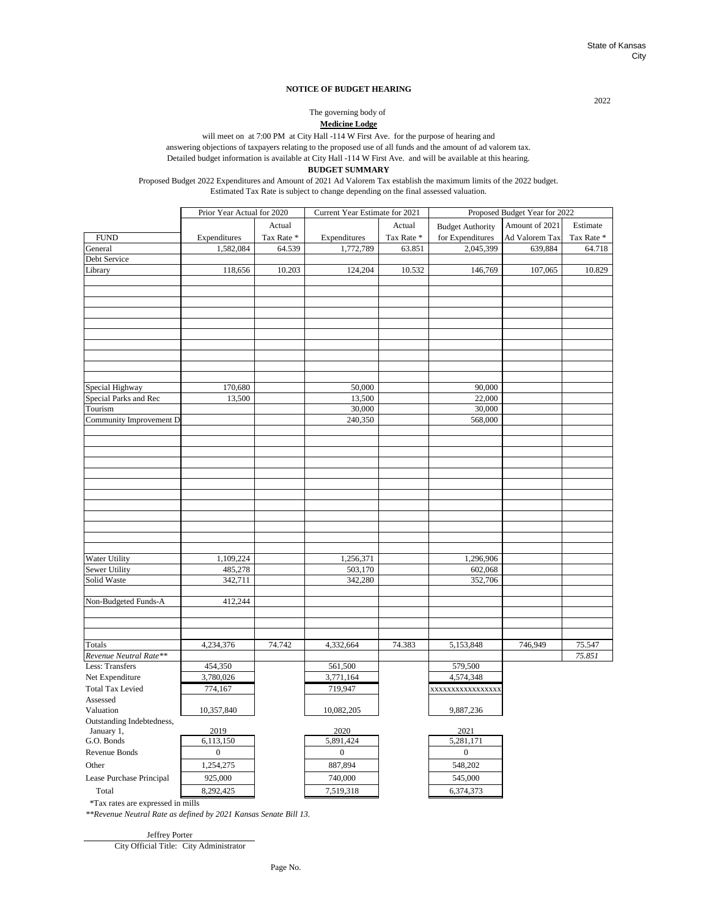#### **NOTICE OF BUDGET HEARING**

**Medicine Lodge** The governing body of

will meet on at 7:00 PM at City Hall -114 W First Ave. for the purpose of hearing and

answering objections of taxpayers relating to the proposed use of all funds and the amount of ad valorem tax.

Detailed budget information is available at City Hall -114 W First Ave. and will be available at this hearing.

### **BUDGET SUMMARY**

Proposed Budget 2022 Expenditures and Amount of 2021 Ad Valorem Tax establish the maximum limits of the 2022 budget. Estimated Tax Rate is subject to change depending on the final assessed valuation.

|                                | Prior Year Actual for 2020 |           | Current Year Estimate for 2021 |            | Proposed Budget Year for 2022 |                |            |
|--------------------------------|----------------------------|-----------|--------------------------------|------------|-------------------------------|----------------|------------|
|                                |                            | Actual    |                                | Actual     | <b>Budget Authority</b>       | Amount of 2021 | Estimate   |
| <b>FUND</b>                    | Expenditures               | Tax Rate* | Expenditures                   | Tax Rate * | for Expenditures              | Ad Valorem Tax | Tax Rate * |
| General                        | 1,582,084                  | 64.539    | 1,772,789                      | 63.851     | 2,045,399                     | 639,884        | 64.718     |
| Debt Service                   |                            |           |                                |            |                               |                |            |
| Library                        | 118,656                    | 10.203    | 124,204                        | 10.532     | 146,769                       | 107,065        | 10.829     |
|                                |                            |           |                                |            |                               |                |            |
|                                |                            |           |                                |            |                               |                |            |
|                                |                            |           |                                |            |                               |                |            |
|                                |                            |           |                                |            |                               |                |            |
|                                |                            |           |                                |            |                               |                |            |
|                                |                            |           |                                |            |                               |                |            |
|                                |                            |           |                                |            |                               |                |            |
|                                |                            |           |                                |            |                               |                |            |
|                                |                            |           |                                |            |                               |                |            |
| Special Highway                | 170,680                    |           | 50,000                         |            | 90,000                        |                |            |
| Special Parks and Rec          | 13,500                     |           | 13,500                         |            | 22,000                        |                |            |
| Tourism                        |                            |           | 30,000                         |            | 30,000                        |                |            |
| Community Improvement D        |                            |           | 240,350                        |            | 568,000                       |                |            |
|                                |                            |           |                                |            |                               |                |            |
|                                |                            |           |                                |            |                               |                |            |
|                                |                            |           |                                |            |                               |                |            |
|                                |                            |           |                                |            |                               |                |            |
|                                |                            |           |                                |            |                               |                |            |
|                                |                            |           |                                |            |                               |                |            |
|                                |                            |           |                                |            |                               |                |            |
|                                |                            |           |                                |            |                               |                |            |
|                                |                            |           |                                |            |                               |                |            |
|                                |                            |           |                                |            |                               |                |            |
|                                |                            |           |                                |            |                               |                |            |
|                                |                            |           |                                |            |                               |                |            |
| Water Utility<br>Sewer Utility | 1,109,224<br>485,278       |           | 1,256,371<br>503,170           |            | 1,296,906<br>602,068          |                |            |
| Solid Waste                    | 342,711                    |           | 342,280                        |            | 352,706                       |                |            |
|                                |                            |           |                                |            |                               |                |            |
| Non-Budgeted Funds-A           | 412,244                    |           |                                |            |                               |                |            |
|                                |                            |           |                                |            |                               |                |            |
|                                |                            |           |                                |            |                               |                |            |
|                                |                            |           |                                |            |                               |                |            |
| Totals                         | 4,234,376                  | 74.742    | 4,332,664                      | 74.383     | 5,153,848                     | 746,949        | 75.547     |
| Revenue Neutral Rate**         |                            |           |                                |            |                               |                | 75.851     |
| Less: Transfers                | 454,350                    |           | 561,500                        |            | 579,500                       |                |            |
| Net Expenditure                | 3,780,026                  |           | 3,771,164                      |            | 4,574,348                     |                |            |
| <b>Total Tax Levied</b>        | 774,167                    |           | 719,947                        |            | xxxxxxxxxxxxxxxx              |                |            |
| Assessed                       |                            |           |                                |            |                               |                |            |
| Valuation                      | 10,357,840                 |           | 10,082,205                     |            | 9,887,236                     |                |            |
| Outstanding Indebtedness,      |                            |           |                                |            |                               |                |            |
| January 1,                     | 2019                       |           | 2020                           |            | 2021                          |                |            |
| G.O. Bonds                     | 6,113,150                  |           | 5,891,424                      |            | 5,281,171                     |                |            |
| Revenue Bonds                  | $\bf{0}$                   |           | $\boldsymbol{0}$               |            | $\boldsymbol{0}$              |                |            |
| Other                          | 1,254,275                  |           | 887,894                        |            | 548,202                       |                |            |
| Lease Purchase Principal       | 925,000                    |           | 740,000                        |            | 545,000                       |                |            |
| Total                          | 8,292,425                  |           | 7,519,318                      |            | 6,374,373                     |                |            |

\*Tax rates are expressed in mills

*\*\*Revenue Neutral Rate as defined by 2021 Kansas Senate Bill 13.*

City Official Title: City Administrator Jeffrey Porter

2022